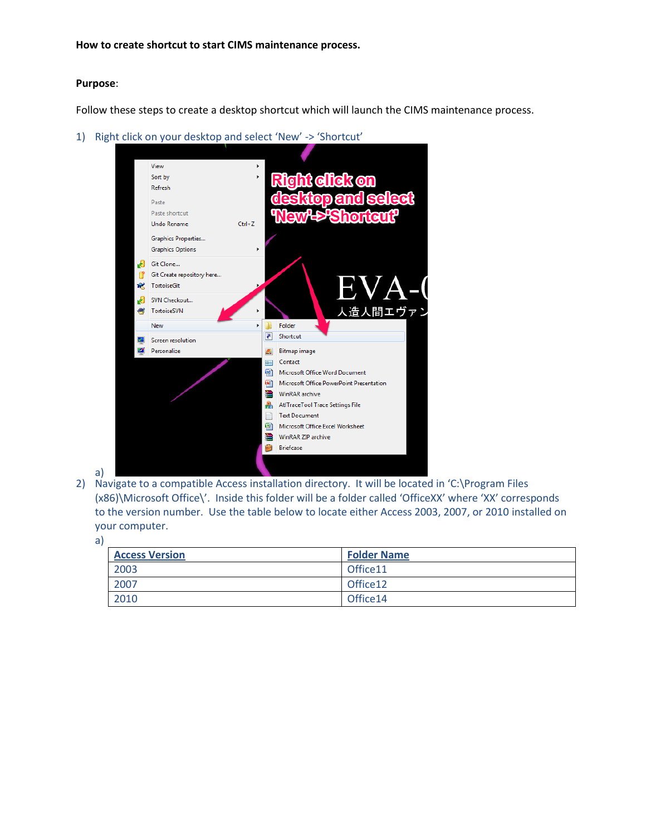**How to create shortcut to start CIMS maintenance process.**

## **Purpose**:

Follow these steps to create a desktop shortcut which will launch the CIMS maintenance process.

1) Right click on your desktop and select 'New' -> 'Shortcut'



- a)
- 2) Navigate to a compatible Access installation directory. It will be located in 'C:\Program Files (x86)\Microsoft Office\'. Inside this folder will be a folder called 'OfficeXX' where 'XX' corresponds to the version number. Use the table below to locate either Access 2003, 2007, or 2010 installed on your computer.
	- a)

| <b>Access Version</b> | <b>Folder Name</b>   |
|-----------------------|----------------------|
| 2003                  | Office <sub>11</sub> |
| 2007                  | Office 12            |
| 2010                  | Office14             |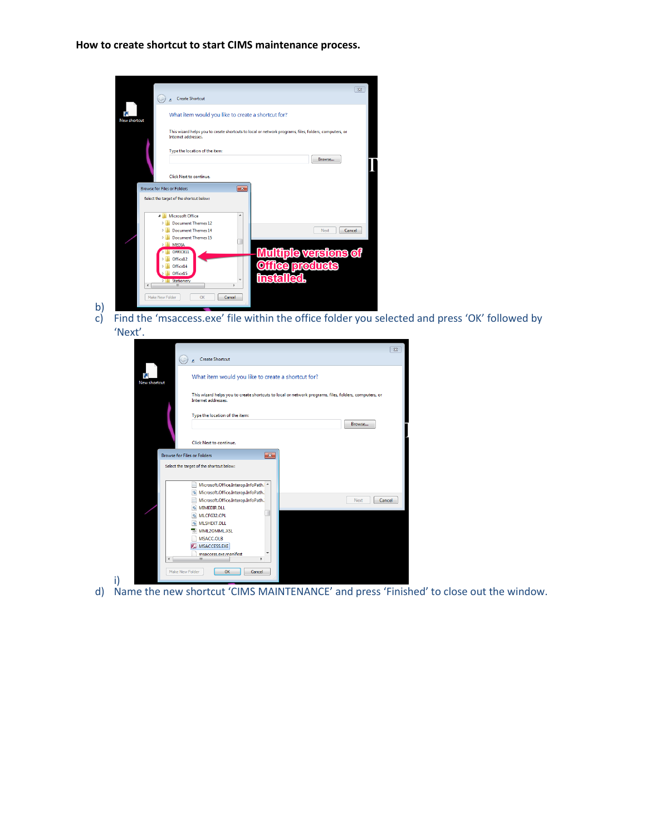**How to create shortcut to start CIMS maintenance process.**

|                                    |                                                                                                                              | $\Sigma$ |  |  |  |
|------------------------------------|------------------------------------------------------------------------------------------------------------------------------|----------|--|--|--|
|                                    | <b>Create Shortcut</b>                                                                                                       |          |  |  |  |
| <b>New shortcut</b>                | What item would you like to create a shortcut for?                                                                           |          |  |  |  |
|                                    | This wizard helps you to create shortcuts to local or network programs, files, folders, computers, or<br>Internet addresses. |          |  |  |  |
|                                    | Type the location of the item:<br>Browse                                                                                     |          |  |  |  |
|                                    | Click Next to continue.                                                                                                      |          |  |  |  |
| <b>Browse for Files or Folders</b> | $\overline{\mathbf{x}}$                                                                                                      |          |  |  |  |
|                                    | Select the target of the shortcut below:                                                                                     |          |  |  |  |
|                                    | Microsoft Office<br>A                                                                                                        |          |  |  |  |
|                                    | <b>Document Themes 12</b><br><b>Document Themes 14</b><br>Next                                                               | Cancel   |  |  |  |
|                                    | <b>Document Themes 15</b>                                                                                                    |          |  |  |  |
|                                    | $\triangleright$ <b>MEDIA</b>                                                                                                |          |  |  |  |
|                                    | <b>Multiple versions of</b><br>OFFICE11                                                                                      |          |  |  |  |
|                                    | Office12<br><b>ce products</b><br>Office14                                                                                   |          |  |  |  |
|                                    | Office15                                                                                                                     |          |  |  |  |
|                                    | insta<br>Stationery<br>Ш<br>٠                                                                                                |          |  |  |  |
|                                    |                                                                                                                              |          |  |  |  |
| Make New Folder                    | OK<br>Cancel                                                                                                                 |          |  |  |  |

b) c) Find the 'msaccess.exe' file within the office folder you selected and press 'OK' followed by 'Next'.

|                        | $\Sigma$                                                                                                                     |  |  |  |  |
|------------------------|------------------------------------------------------------------------------------------------------------------------------|--|--|--|--|
|                        | <b>Create Shortcut</b>                                                                                                       |  |  |  |  |
| New shortcut           | What item would you like to create a shortcut for?                                                                           |  |  |  |  |
|                        | This wizard helps you to create shortcuts to local or network programs, files, folders, computers, or<br>Internet addresses. |  |  |  |  |
|                        | Type the location of the item:                                                                                               |  |  |  |  |
|                        | Browse                                                                                                                       |  |  |  |  |
|                        | Click Next to continue.                                                                                                      |  |  |  |  |
|                        | <b>Browse for Files or Folders</b><br>$\mathbf{x}$                                                                           |  |  |  |  |
|                        | Select the target of the shortcut below:                                                                                     |  |  |  |  |
|                        | Microsoft.Office.Interop.InfoPath. ^                                                                                         |  |  |  |  |
|                        | 6 Microsoft.Office.Interop.InfoPath.                                                                                         |  |  |  |  |
|                        | Microsoft.Office.Interop.InfoPath.<br><b>Next</b><br>Cancel<br>MIMEDIR.DLL                                                   |  |  |  |  |
|                        | MLCFG32.CPL                                                                                                                  |  |  |  |  |
|                        | MLSHEXT.DLL                                                                                                                  |  |  |  |  |
|                        | MML2OMML.XSL                                                                                                                 |  |  |  |  |
|                        | MSACC.OLB<br>MSACCESS.EXE                                                                                                    |  |  |  |  |
|                        | msaccess.exe.manifest                                                                                                        |  |  |  |  |
| $\epsilon$             | m.                                                                                                                           |  |  |  |  |
| <b>Make New Folder</b> | OK<br>Cancel                                                                                                                 |  |  |  |  |
|                        |                                                                                                                              |  |  |  |  |

i) d) Name the new shortcut 'CIMS MAINTENANCE' and press 'Finished' to close out the window.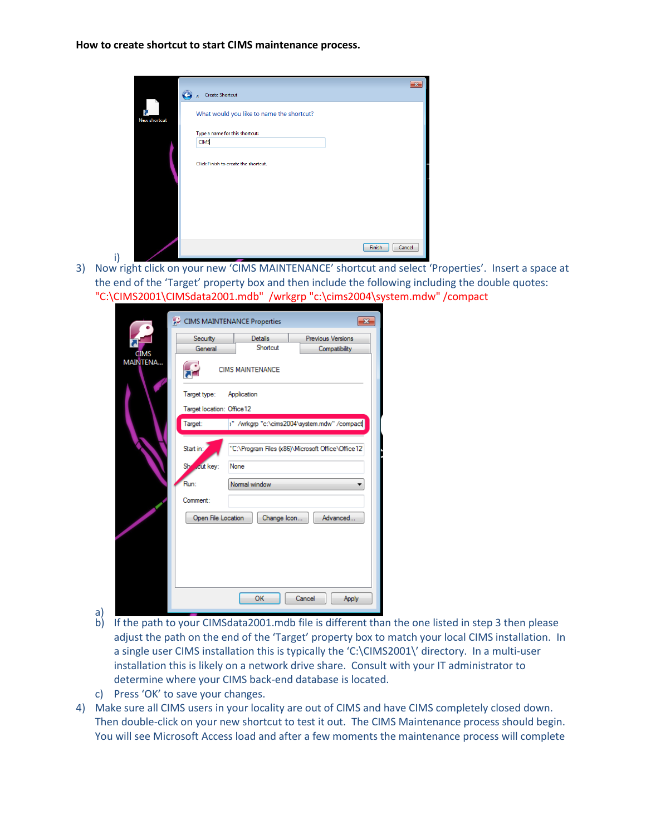**How to create shortcut to start CIMS maintenance process.**

i)

|                    | <b>Create Shortcut</b><br>ø                   | $\overline{\mathbf{x}}$ |
|--------------------|-----------------------------------------------|-------------------------|
| ति<br>New shortcut | What would you like to name the shortcut?     |                         |
|                    | Type a name for this shortcut:<br><b>CIMS</b> |                         |
|                    | Click Finish to create the shortcut.          |                         |
|                    | Finish<br>Cancel                              |                         |

3) Now right click on your new 'CIMS MAINTENANCE' shortcut and select 'Properties'. Insert a space at the end of the 'Target' property box and then include the following including the double quotes: "C:\CIMS2001\CIMSdata2001.mdb" /wrkgrp "c:\cims2004\system.mdw" /compact

|                                               | CIMS MAINTENANCE Properties                             |                         | $\overline{\mathbf{z}}$                            |  |  |  |  |
|-----------------------------------------------|---------------------------------------------------------|-------------------------|----------------------------------------------------|--|--|--|--|
|                                               | Security                                                | <b>Details</b>          | Previous Versions                                  |  |  |  |  |
| <b>CIMS</b>                                   | General                                                 | Shortcut                | Compatibility                                      |  |  |  |  |
| MAINTENA                                      |                                                         | <b>CIMS MAINTENANCE</b> |                                                    |  |  |  |  |
|                                               | Target type:<br>Application                             |                         |                                                    |  |  |  |  |
|                                               | Target location: Office 12                              |                         |                                                    |  |  |  |  |
|                                               | Target:<br>/" /wrkgrp "c:\cims2004\system.mdw" /compact |                         |                                                    |  |  |  |  |
|                                               | Start in:                                               |                         | "C:\Program Files (x86)\Microsoft Office\Office12' |  |  |  |  |
|                                               | She cut key:                                            | None                    |                                                    |  |  |  |  |
|                                               | Run:                                                    | Normal window           |                                                    |  |  |  |  |
|                                               | Comment:                                                |                         |                                                    |  |  |  |  |
| Change Icon<br>Advanced<br>Open File Location |                                                         |                         |                                                    |  |  |  |  |
|                                               |                                                         |                         |                                                    |  |  |  |  |
|                                               |                                                         |                         |                                                    |  |  |  |  |
|                                               |                                                         |                         |                                                    |  |  |  |  |
|                                               |                                                         | OK                      | Cancel<br>Apply                                    |  |  |  |  |

- a) b) If the path to your CIMSdata2001.mdb file is different than the one listed in step 3 then please adjust the path on the end of the 'Target' property box to match your local CIMS installation. In a single user CIMS installation this is typically the 'C:\CIMS2001\' directory. In a multi-user installation this is likely on a network drive share. Consult with your IT administrator to determine where your CIMS back-end database is located.
- c) Press 'OK' to save your changes.
- 4) Make sure all CIMS users in your locality are out of CIMS and have CIMS completely closed down. Then double-click on your new shortcut to test it out. The CIMS Maintenance process should begin. You will see Microsoft Access load and after a few moments the maintenance process will complete